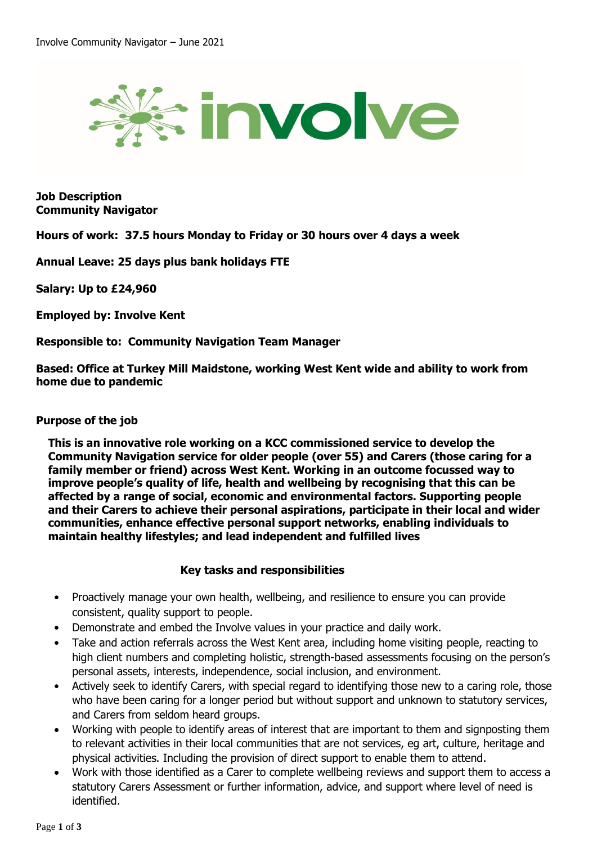

**Job Description Community Navigator**

**Hours of work: 37.5 hours Monday to Friday or 30 hours over 4 days a week**

**Annual Leave: 25 days plus bank holidays FTE**

**Salary: Up to £24,960**

**Employed by: Involve Kent**

**Responsible to: Community Navigation Team Manager**

**Based: Office at Turkey Mill Maidstone, working West Kent wide and ability to work from home due to pandemic**

## **Purpose of the job**

**This is an innovative role working on a KCC commissioned service to develop the Community Navigation service for older people (over 55) and Carers (those caring for a family member or friend) across West Kent. Working in an outcome focussed way to improve people's quality of life, health and wellbeing by recognising that this can be affected by a range of social, economic and environmental factors. Supporting people and their Carers to achieve their personal aspirations, participate in their local and wider communities, enhance effective personal support networks, enabling individuals to maintain healthy lifestyles; and lead independent and fulfilled lives**

## **Key tasks and responsibilities**

- Proactively manage your own health, wellbeing, and resilience to ensure you can provide consistent, quality support to people.
- Demonstrate and embed the Involve values in your practice and daily work.
- Take and action referrals across the West Kent area, including home visiting people, reacting to high client numbers and completing holistic, strength-based assessments focusing on the person's personal assets, interests, independence, social inclusion, and environment.
- Actively seek to identify Carers, with special regard to identifying those new to a caring role, those who have been caring for a longer period but without support and unknown to statutory services, and Carers from seldom heard groups.
- Working with people to identify areas of interest that are important to them and signposting them to relevant activities in their local communities that are not services, eg art, culture, heritage and physical activities. Including the provision of direct support to enable them to attend.
- Work with those identified as a Carer to complete wellbeing reviews and support them to access a statutory Carers Assessment or further information, advice, and support where level of need is identified.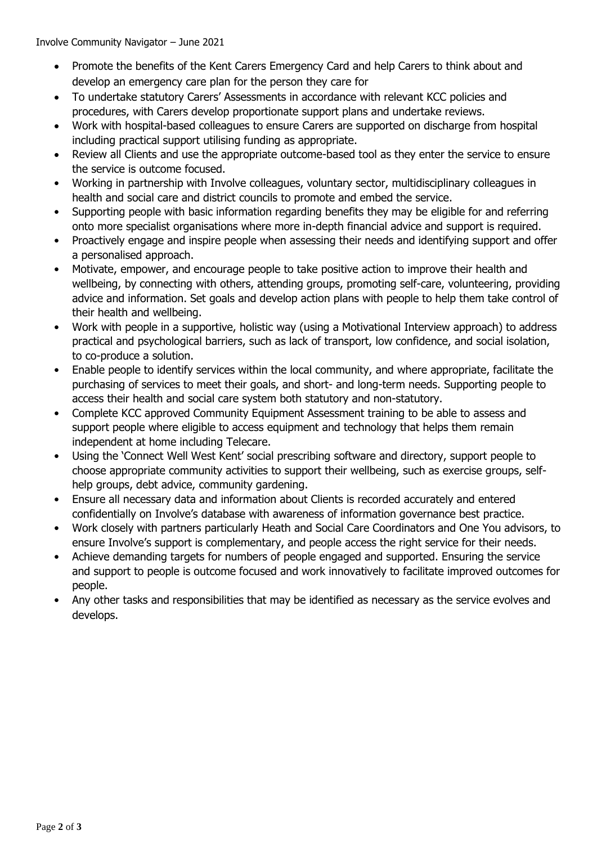Involve Community Navigator – June 2021

- Promote the benefits of the Kent Carers Emergency Card and help Carers to think about and develop an emergency care plan for the person they care for
- To undertake statutory Carers' Assessments in accordance with relevant KCC policies and procedures, with Carers develop proportionate support plans and undertake reviews.
- Work with hospital-based colleagues to ensure Carers are supported on discharge from hospital including practical support utilising funding as appropriate.
- Review all Clients and use the appropriate outcome-based tool as they enter the service to ensure the service is outcome focused.
- Working in partnership with Involve colleagues, voluntary sector, multidisciplinary colleagues in health and social care and district councils to promote and embed the service.
- Supporting people with basic information regarding benefits they may be eligible for and referring onto more specialist organisations where more in-depth financial advice and support is required.
- Proactively engage and inspire people when assessing their needs and identifying support and offer a personalised approach.
- Motivate, empower, and encourage people to take positive action to improve their health and wellbeing, by connecting with others, attending groups, promoting self-care, volunteering, providing advice and information. Set goals and develop action plans with people to help them take control of their health and wellbeing.
- Work with people in a supportive, holistic way (using a Motivational Interview approach) to address practical and psychological barriers, such as lack of transport, low confidence, and social isolation, to co-produce a solution.
- Enable people to identify services within the local community, and where appropriate, facilitate the purchasing of services to meet their goals, and short- and long-term needs. Supporting people to access their health and social care system both statutory and non-statutory.
- Complete KCC approved Community Equipment Assessment training to be able to assess and support people where eligible to access equipment and technology that helps them remain independent at home including Telecare.
- Using the 'Connect Well West Kent' social prescribing software and directory, support people to choose appropriate community activities to support their wellbeing, such as exercise groups, selfhelp groups, debt advice, community gardening.
- Ensure all necessary data and information about Clients is recorded accurately and entered confidentially on Involve's database with awareness of information governance best practice.
- Work closely with partners particularly Heath and Social Care Coordinators and One You advisors, to ensure Involve's support is complementary, and people access the right service for their needs.
- Achieve demanding targets for numbers of people engaged and supported. Ensuring the service and support to people is outcome focused and work innovatively to facilitate improved outcomes for people.
- Any other tasks and responsibilities that may be identified as necessary as the service evolves and develops.